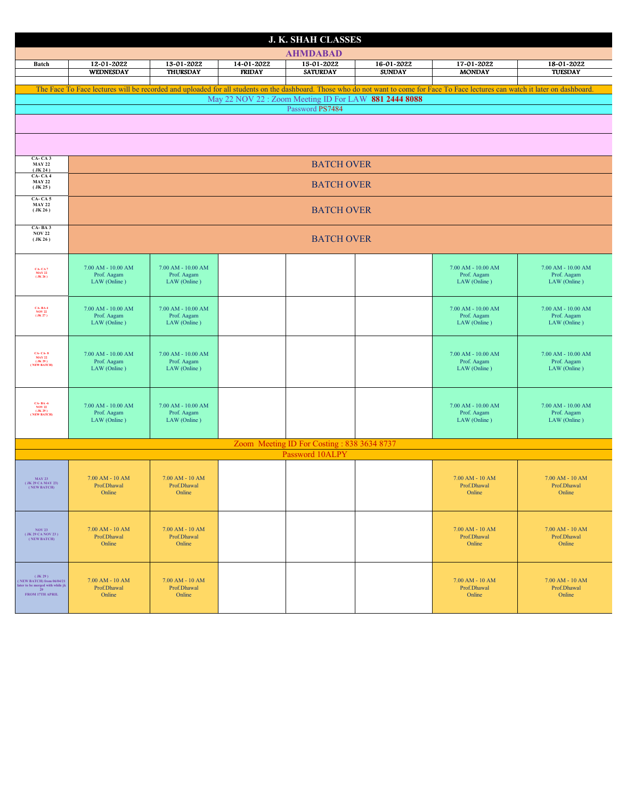| <b>J. K. SHAH CLASSES</b>                                             |                                            |                                       |                             |                               |                                                       |                                                                                                                                                                                     |                                       |  |  |
|-----------------------------------------------------------------------|--------------------------------------------|---------------------------------------|-----------------------------|-------------------------------|-------------------------------------------------------|-------------------------------------------------------------------------------------------------------------------------------------------------------------------------------------|---------------------------------------|--|--|
|                                                                       |                                            |                                       |                             | <b>AHMDABAD</b>               |                                                       |                                                                                                                                                                                     |                                       |  |  |
| <b>Batch</b>                                                          | 12-01-2022<br><b>WEDNESDAY</b>             | 13-01-2022<br><b>THURSDAY</b>         | 14-01-2022<br><b>FRIDAY</b> | 15-01-2022<br><b>SATURDAY</b> | 16-01-2022<br><b>SUNDAY</b>                           | 17-01-2022<br><b>MONDAY</b>                                                                                                                                                         | 18-01-2022<br><b>TUESDAY</b>          |  |  |
|                                                                       |                                            |                                       |                             |                               |                                                       | The Face To Face lectures will be recorded and uploaded for all students on the dashboard. Those who do not want to come for Face To Face lectures can watch it later on dashboard. |                                       |  |  |
|                                                                       |                                            |                                       |                             |                               | May 22 NOV 22 : Zoom Meeting ID For LAW 881 2444 8088 |                                                                                                                                                                                     |                                       |  |  |
| Password PS7484                                                       |                                            |                                       |                             |                               |                                                       |                                                                                                                                                                                     |                                       |  |  |
|                                                                       |                                            |                                       |                             |                               |                                                       |                                                                                                                                                                                     |                                       |  |  |
|                                                                       |                                            |                                       |                             |                               |                                                       |                                                                                                                                                                                     |                                       |  |  |
| CA-CA3<br><b>MAY 22</b><br>(JK 24)                                    |                                            |                                       |                             | <b>BATCH OVER</b>             |                                                       |                                                                                                                                                                                     |                                       |  |  |
| CA-CA4<br><b>MAY 22</b><br>(JK 25)                                    | <b>BATCH OVER</b>                          |                                       |                             |                               |                                                       |                                                                                                                                                                                     |                                       |  |  |
| <b>CA-CA5</b><br><b>MAY 22</b>                                        |                                            |                                       |                             |                               |                                                       |                                                                                                                                                                                     |                                       |  |  |
| (JK26)                                                                | <b>BATCH OVER</b>                          |                                       |                             |                               |                                                       |                                                                                                                                                                                     |                                       |  |  |
| CA-BA3<br><b>NOV 22</b><br>(JK26)                                     | <b>BATCH OVER</b>                          |                                       |                             |                               |                                                       |                                                                                                                                                                                     |                                       |  |  |
|                                                                       |                                            |                                       |                             |                               |                                                       |                                                                                                                                                                                     |                                       |  |  |
| CA- CA 7<br>MAY 22<br>(JK 26)                                         | 7.00 AM - 10.00 AM<br>Prof. Aagam          | $7.00$ AM - $10.00$ AM<br>Prof. Aagam |                             |                               |                                                       | 7.00 AM - 10.00 AM<br>Prof. Aagam                                                                                                                                                   | $7.00$ AM - $10.00$ AM<br>Prof. Aagam |  |  |
|                                                                       | LAW (Online)                               | LAW (Online)                          |                             |                               |                                                       | LAW (Online)                                                                                                                                                                        | LAW (Online)                          |  |  |
| <b>CA-BA4</b>                                                         | $7.00$ AM - $10.00$ AM                     | $7.00$ AM - $10.00$ AM                |                             |                               |                                                       | $7.00$ AM - $10.00$ AM                                                                                                                                                              | $7.00$ AM - $10.00$ AM                |  |  |
| $\frac{NOV 22}{(JK 27)}$                                              | Prof. Aagam<br>LAW (Online)                | Prof. Aagam<br>LAW (Online)           |                             |                               |                                                       | Prof. Aagam<br>LAW (Online)                                                                                                                                                         | Prof. Aagam<br>LAW (Online)           |  |  |
|                                                                       |                                            |                                       |                             |                               |                                                       |                                                                                                                                                                                     |                                       |  |  |
|                                                                       | $7.00$ AM - $10.00$ AM                     | $7.00$ AM - $10.00$ AM                |                             |                               |                                                       | $7.00$ AM - $10.00$ AM                                                                                                                                                              | $7.00$ AM - $10.00$ AM                |  |  |
| CA- CA- 8<br>MAY 22<br>(JK 29)<br>(NEW BATCH)                         | Prof. Aagam<br>LAW (Online)                | Prof. Aagam<br>LAW (Online)           |                             |                               |                                                       | Prof. Aagam<br>LAW (Online)                                                                                                                                                         | Prof. Aagam<br>LAW (Online)           |  |  |
|                                                                       |                                            |                                       |                             |                               |                                                       |                                                                                                                                                                                     |                                       |  |  |
|                                                                       |                                            |                                       |                             |                               |                                                       |                                                                                                                                                                                     |                                       |  |  |
| CA- BA -6<br>NOV 22<br>( JK 29 )<br>(NEW BATCH)                       | 7.00 AM - 10.00 AM<br>Prof. Aagam          | $7.00$ AM - $10.00$ AM<br>Prof. Aagam |                             |                               |                                                       | $7.00$ AM - $10.00$ AM<br>Prof. Aagam                                                                                                                                               | $7.00$ AM - $10.00$ AM<br>Prof. Aagam |  |  |
|                                                                       | LAW (Online)                               | LAW (Online)                          |                             |                               |                                                       | LAW (Online)                                                                                                                                                                        | LAW (Online)                          |  |  |
|                                                                       | Zoom Meeting ID For Costing: 838 3634 8737 |                                       |                             |                               |                                                       |                                                                                                                                                                                     |                                       |  |  |
| Password 10ALPY                                                       |                                            |                                       |                             |                               |                                                       |                                                                                                                                                                                     |                                       |  |  |
|                                                                       |                                            |                                       |                             |                               |                                                       |                                                                                                                                                                                     |                                       |  |  |
| <b>MAY 23</b><br>(JK 29 CA MAY 23)<br>(NEW BATCH)                     | 7.00 AM - 10 AM<br>Prof.Dhawal             | 7.00 AM - 10 AM<br>Prof.Dhawal        |                             |                               |                                                       | 7.00 AM - 10 AM<br>Prof.Dhawal                                                                                                                                                      | $7.00$ AM - $10$ AM<br>Prof.Dhawal    |  |  |
|                                                                       | Online                                     | Online                                |                             |                               |                                                       | Online                                                                                                                                                                              | Online                                |  |  |
|                                                                       |                                            |                                       |                             |                               |                                                       |                                                                                                                                                                                     |                                       |  |  |
| <b>NOV 23</b>                                                         | $7.00$ AM - $10$ AM                        | 7.00 AM - 10 AM                       |                             |                               |                                                       | 7.00 AM - 10 AM                                                                                                                                                                     | $7.00$ AM - $10$ AM                   |  |  |
| (JK 29 CA NOV 23)<br>(NEW BATCH)                                      | Prof.Dhawal<br>Online                      | Prof.Dhawal<br>Online                 |                             |                               |                                                       | Prof.Dhawal<br>Online                                                                                                                                                               | Prof.Dhawal<br>Online                 |  |  |
|                                                                       |                                            |                                       |                             |                               |                                                       |                                                                                                                                                                                     |                                       |  |  |
| (JK29)                                                                |                                            |                                       |                             |                               |                                                       |                                                                                                                                                                                     |                                       |  |  |
| (NEW BATCH) from 06/04/21<br>later to be merged with while jk<br>- 29 | $7.00$ AM - $10$ AM<br>Prof.Dhawal         | $7.00$ AM - $10$ AM<br>Prof.Dhawal    |                             |                               |                                                       | 7.00 AM - 10 AM<br>Prof.Dhawal                                                                                                                                                      | 7.00 AM - 10 AM<br>Prof.Dhawal        |  |  |
| FROM 17TH APRIL                                                       | Online                                     | Online                                |                             |                               |                                                       | Online                                                                                                                                                                              | Online                                |  |  |
|                                                                       |                                            |                                       |                             |                               |                                                       |                                                                                                                                                                                     |                                       |  |  |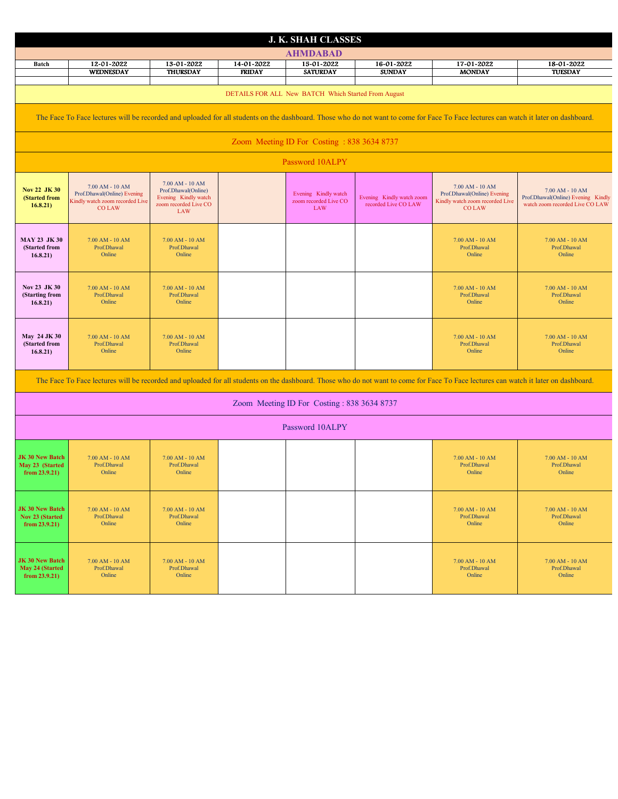| <b>J. K. SHAH CLASSES</b>                                                                                                                                                           |                                                                                                       |                                                                                                       |                             |                                                             |                                                   |                                                                                                       |                                                                                          |  |  |
|-------------------------------------------------------------------------------------------------------------------------------------------------------------------------------------|-------------------------------------------------------------------------------------------------------|-------------------------------------------------------------------------------------------------------|-----------------------------|-------------------------------------------------------------|---------------------------------------------------|-------------------------------------------------------------------------------------------------------|------------------------------------------------------------------------------------------|--|--|
| <b>AHMDABAD</b>                                                                                                                                                                     |                                                                                                       |                                                                                                       |                             |                                                             |                                                   |                                                                                                       |                                                                                          |  |  |
| <b>Batch</b>                                                                                                                                                                        | 12-01-2022<br>WEDNESDAY                                                                               | 13-01-2022<br><b>THURSDAY</b>                                                                         | 14-01-2022<br><b>FRIDAY</b> | 15-01-2022<br><b>SATURDAY</b>                               | 16-01-2022<br><b>SUNDAY</b>                       | 17-01-2022<br><b>MONDAY</b>                                                                           | 18-01-2022<br><b>TUESDAY</b>                                                             |  |  |
|                                                                                                                                                                                     |                                                                                                       |                                                                                                       |                             |                                                             |                                                   |                                                                                                       |                                                                                          |  |  |
| DETAILS FOR ALL New BATCH Which Started From August                                                                                                                                 |                                                                                                       |                                                                                                       |                             |                                                             |                                                   |                                                                                                       |                                                                                          |  |  |
| The Face To Face lectures will be recorded and uploaded for all students on the dashboard. Those who do not want to come for Face To Face lectures can watch it later on dashboard. |                                                                                                       |                                                                                                       |                             |                                                             |                                                   |                                                                                                       |                                                                                          |  |  |
| Zoom Meeting ID For Costing: 838 3634 8737                                                                                                                                          |                                                                                                       |                                                                                                       |                             |                                                             |                                                   |                                                                                                       |                                                                                          |  |  |
| Password 10ALPY                                                                                                                                                                     |                                                                                                       |                                                                                                       |                             |                                                             |                                                   |                                                                                                       |                                                                                          |  |  |
| Nov 22 JK 30<br>(Started from<br>16.8.21)                                                                                                                                           | $7.00$ AM - $10$ AM<br>Prof.Dhawal(Online) Evening<br>Kindly watch zoom recorded Live<br><b>COLAW</b> | 7.00 AM - 10 AM<br>Prof.Dhawal(Online)<br>Evening Kindly watch<br>zoom recorded Live CO<br><b>LAW</b> |                             | Evening Kindly watch<br>zoom recorded Live CO<br><b>LAW</b> | Evening Kindly watch zoom<br>recorded Live CO LAW | $7.00$ AM - $10$ AM<br>Prof.Dhawal(Online) Evening<br>Kindly watch zoom recorded Live<br><b>COLAW</b> | 7.00 AM - 10 AM<br>Prof.Dhawal(Online) Evening Kindly<br>watch zoom recorded Live CO LAW |  |  |
| <b>MAY 23 JK 30</b><br>(Started from<br>16.8.21)                                                                                                                                    | $7.00$ AM - $10$ AM<br>Prof.Dhawal<br>Online                                                          | 7.00 AM - 10 AM<br>Prof.Dhawal<br>Online                                                              |                             |                                                             |                                                   | $7.00$ AM - $10$ AM<br>Prof.Dhawal<br>Online                                                          | 7.00 AM - 10 AM<br>Prof.Dhawal<br>Online                                                 |  |  |
| Nov 23 JK 30<br>(Starting from<br>16.8.21)                                                                                                                                          | $7.00$ AM - $10$ AM<br>Prof.Dhawal<br>Online                                                          | 7.00 AM - 10 AM<br>Prof.Dhawal<br>Online                                                              |                             |                                                             |                                                   | $7.00$ AM - $10$ AM<br>Prof.Dhawal<br>Online                                                          | 7.00 AM - 10 AM<br>Prof.Dhawal<br>Online                                                 |  |  |
| May 24 JK 30<br>(Started from<br>16.8.21)                                                                                                                                           | $7.00$ AM - $10$ AM<br>Prof.Dhawal<br>Online                                                          | 7.00 AM - 10 AM<br>Prof.Dhawal<br>Online                                                              |                             |                                                             |                                                   | $7.00$ AM - $10$ AM<br>Prof.Dhawal<br>Online                                                          | 7.00 AM - 10 AM<br>Prof.Dhawal<br>Online                                                 |  |  |
| The Face To Face lectures will be recorded and uploaded for all students on the dashboard. Those who do not want to come for Face To Face lectures can watch it later on dashboard. |                                                                                                       |                                                                                                       |                             |                                                             |                                                   |                                                                                                       |                                                                                          |  |  |
| Zoom Meeting ID For Costing: 838 3634 8737                                                                                                                                          |                                                                                                       |                                                                                                       |                             |                                                             |                                                   |                                                                                                       |                                                                                          |  |  |
| Password 10ALPY                                                                                                                                                                     |                                                                                                       |                                                                                                       |                             |                                                             |                                                   |                                                                                                       |                                                                                          |  |  |
| <b>JK 30 New Batch</b><br>May 23 (Started<br>from $23.9.21$ )                                                                                                                       | $7.00$ AM - $10$ AM<br>Prof.Dhawal<br>Online                                                          | 7.00 AM - 10 AM<br>Prof.Dhawal<br>Online                                                              |                             |                                                             |                                                   | $7.00$ AM - $10$ AM<br>Prof.Dhawal<br>Online                                                          | 7.00 AM - 10 AM<br>Prof.Dhawal<br>Online                                                 |  |  |
| <b>JK 30 New Batch</b><br><b>Nov 23 (Started</b><br>from $23.9.21$ )                                                                                                                | $7.00$ AM - $10$ AM<br>Prof.Dhawal<br>Online                                                          | 7.00 AM - 10 AM<br>Prof.Dhawal<br>Online                                                              |                             |                                                             |                                                   | $7.00$ AM - $10$ AM<br>Prof.Dhawal<br>Online                                                          | $7.00$ AM - $10$ AM<br>Prof.Dhawal<br>Online                                             |  |  |
| <b>JK 30 New Batch</b><br>May 24 (Started<br>from $23.9.21$ )                                                                                                                       | $7.00$ AM - $10$ AM $\,$<br>Prof.Dhawal<br>Online                                                     | $7.00$ AM - $10$ AM<br>Prof.Dhawal<br>Online                                                          |                             |                                                             |                                                   | $7.00$ AM - $10$ AM $\,$<br>Prof.Dhawal<br>Online                                                     | $7.00$ AM - $10$ AM<br>Prof.Dhawal<br>Online                                             |  |  |